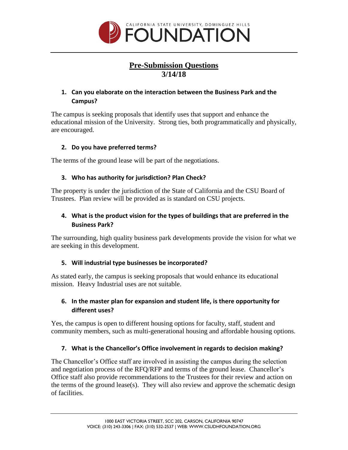

# **Pre-Submission Questions 3/14/18**

# **1. Can you elaborate on the interaction between the Business Park and the Campus?**

The campus is seeking proposals that identify uses that support and enhance the educational mission of the University. Strong ties, both programmatically and physically, are encouraged.

## **2. Do you have preferred terms?**

The terms of the ground lease will be part of the negotiations.

## **3. Who has authority for jurisdiction? Plan Check?**

The property is under the jurisdiction of the State of California and the CSU Board of Trustees. Plan review will be provided as is standard on CSU projects.

## **4. What is the product vision for the types of buildings that are preferred in the Business Park?**

The surrounding, high quality business park developments provide the vision for what we are seeking in this development.

## **5. Will industrial type businesses be incorporated?**

As stated early, the campus is seeking proposals that would enhance its educational mission. Heavy Industrial uses are not suitable.

## **6. In the master plan for expansion and student life, is there opportunity for different uses?**

Yes, the campus is open to different housing options for faculty, staff, student and community members, such as multi-generational housing and affordable housing options.

## **7. What is the Chancellor's Office involvement in regards to decision making?**

The Chancellor's Office staff are involved in assisting the campus during the selection and negotiation process of the RFQ/RFP and terms of the ground lease. Chancellor's Office staff also provide recommendations to the Trustees for their review and action on the terms of the ground lease(s). They will also review and approve the schematic design of facilities.